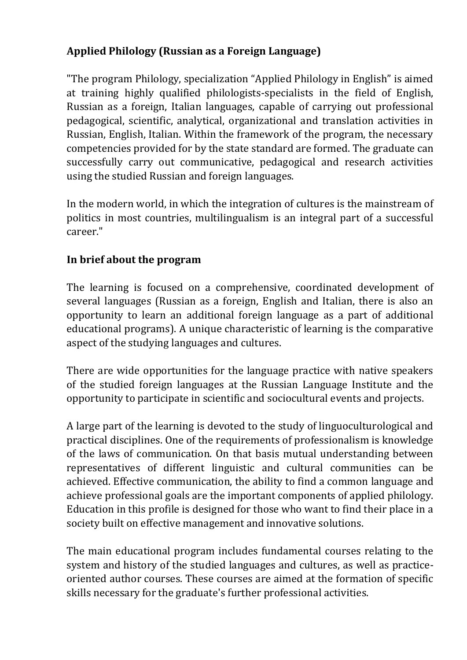## **Applied Philology (Russian as a Foreign Language)**

"The program Philology, specialization "Applied Philology in English" is aimed at training highly qualified philologists-specialists in the field of English, Russian as a foreign, Italian languages, capable of carrying out professional pedagogical, scientific, analytical, organizational and translation activities in Russian, English, Italian. Within the framework of the program, the necessary competencies provided for by the state standard are formed. The graduate can successfully carry out communicative, pedagogical and research activities using the studied Russian and foreign languages.

In the modern world, in which the integration of cultures is the mainstream of politics in most countries, multilingualism is an integral part of a successful career."

## **In brief about the program**

The learning is focused on a comprehensive, coordinated development of several languages (Russian as a foreign, English and Italian, there is also an opportunity to learn an additional foreign language as a part of additional educational programs). A unique characteristic of learning is the comparative aspect of the studying languages and cultures.

There are wide opportunities for the language practice with native speakers of the studied foreign languages at the Russian Language Institute and the opportunity to participate in scientific and sociocultural events and projects.

A large part of the learning is devoted to the study of linguoculturological and practical disciplines. One of the requirements of professionalism is knowledge of the laws of communication. On that basis mutual understanding between representatives of different linguistic and cultural communities can be achieved. Effective communication, the ability to find a common language and achieve professional goals are the important components of applied philology. Education in this profile is designed for those who want to find their place in a society built on effective management and innovative solutions.

The main educational program includes fundamental courses relating to the system and history of the studied languages and cultures, as well as practiceoriented author courses. These courses are aimed at the formation of specific skills necessary for the graduate's further professional activities.